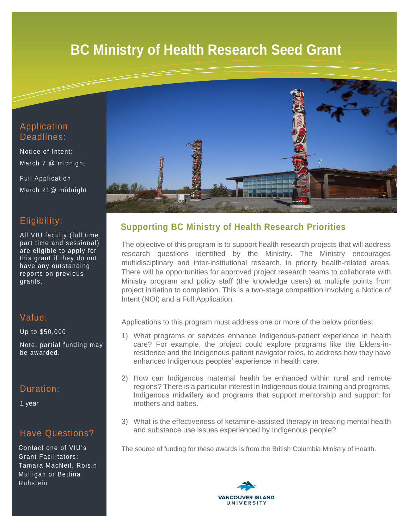# **BC Ministry of Health Research Seed Grant**



Notice of Intent: March 7 @ midnight

Full Application: March 21@ midnight

### Eligibility:

All VIU faculty (full time, part time and sessional) are eligible to apply for this grant if they do not have any outstanding reports on previous grants.

### Value:

Up to \$50,000

Note: partial funding may be awarded.

### Duration:

1 year

### Have Questions?

Contact one of VIU's Grant Facilitators : Tamara MacNeil, Roisin Mulligan or Bettina Ruhstein



## **Supporting BC Ministry of Health Research Priorities**

The objective of this program is to support health research projects that will address research questions identified by the Ministry. The Ministry encourages multidisciplinary and inter-institutional research, in priority health-related areas. There will be opportunities for approved project research teams to collaborate with Ministry program and policy staff (the knowledge users) at multiple points from project initiation to completion. This is a two-stage competition involving a Notice of Intent (NOI) and a Full Application.

Applications to this program must address one or more of the below priorities:

- 1) What programs or services enhance Indigenous-patient experience in health care? For example, the project could explore programs like the Elders-inresidence and the Indigenous patient navigator roles, to address how they have enhanced Indigenous peoples' experience in health care.
- 2) How can Indigenous maternal health be enhanced within rural and remote regions? There is a particular interest in Indigenous doula training and programs, Indigenous midwifery and programs that support mentorship and support for mothers and babes.
- 3) What is the effectiveness of ketamine-assisted therapy in treating mental health and substance use issues experienced by Indigenous people?

The source of funding for these awards is from the British Columbia Ministry of Health.